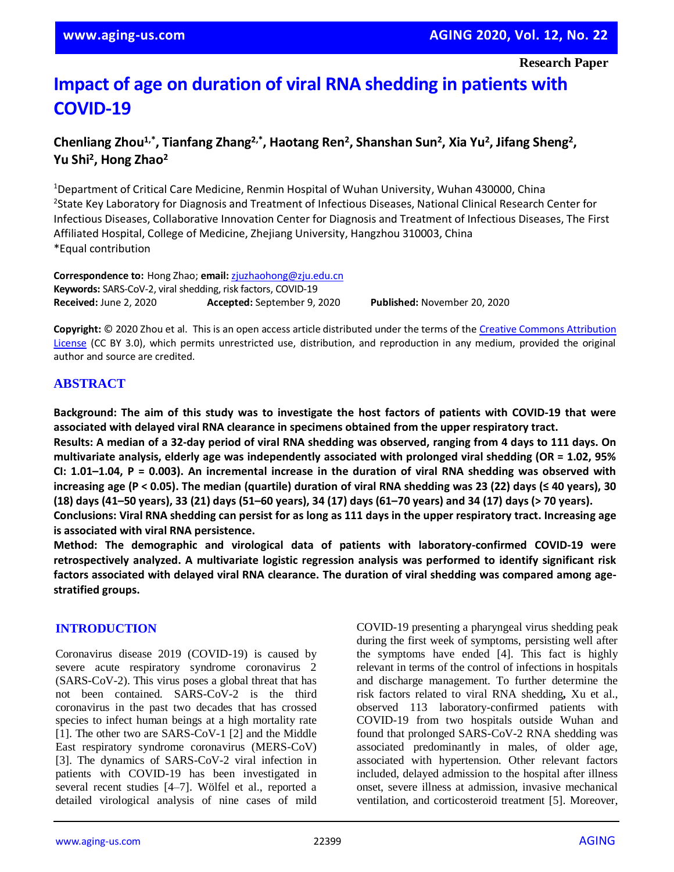# **Impact of age on duration of viral RNA shedding in patients with COVID-19**

## **Chenliang Zhou1,\*, Tianfang Zhang2,\*, Haotang Ren<sup>2</sup> , Shanshan Sun<sup>2</sup> , Xia Yu<sup>2</sup> , Jifang Sheng<sup>2</sup> , Yu Shi<sup>2</sup> , Hong Zhao<sup>2</sup>**

<sup>1</sup>Department of Critical Care Medicine, Renmin Hospital of Wuhan University, Wuhan 430000, China <sup>2</sup>State Key Laboratory for Diagnosis and Treatment of Infectious Diseases, National Clinical Research Center for Infectious Diseases, Collaborative Innovation Center for Diagnosis and Treatment of Infectious Diseases, The First Affiliated Hospital, College of Medicine, Zhejiang University, Hangzhou 310003, China \*Equal contribution

**Correspondence to:** Hong Zhao; **email:** [zjuzhaohong@zju.edu.cn](mailto:zjuzhaohong@zju.edu.cn) **Keywords:** SARS-CoV-2, viral shedding, risk factors, COVID-19 **Received:** June 2, 2020 **Accepted:** September 9, 2020 **Published:** November 20, 2020

**Copyright:** © 2020 Zhou et al. This is an open access article distributed under the terms of th[e Creative Commons Attribution](https://creativecommons.org/licenses/by/3.0/)  [License](https://creativecommons.org/licenses/by/3.0/) (CC BY 3.0), which permits unrestricted use, distribution, and reproduction in any medium, provided the original author and source are credited.

## **ABSTRACT**

Background: The aim of this study was to investigate the host factors of patients with COVID-19 that were **associated with delayed viral RNA clearance in specimens obtained from the upper respiratory tract.**

Results: A median of a 32-day period of viral RNA shedding was observed, ranging from 4 days to 111 days. On **multivariate analysis, elderly age was independently associated with prolonged viral shedding (OR = 1.02, 95%** CI:  $1.01-1.04$ , P = 0.003). An incremental increase in the duration of viral RNA shedding was observed with increasing age (P < 0.05). The median (quartile) duration of viral RNA shedding was 23 (22) days ( $\leq$  40 years), 30 (18) days (41–50 years), 33 (21) days (51–60 years), 34 (17) days (61–70 years) and 34 (17) days (> 70 years). Conclusions: Viral RNA shedding can persist for as long as 111 days in the upper respiratory tract. Increasing age

**is associated with viral RNA persistence.**

**Method: The demographic and virological data of patients with laboratory-confirmed COVID-19 were retrospectively analyzed. A multivariate logistic regression analysis was performed to identify significant risk factors associated with delayed viral RNA clearance. The duration of viral shedding was compared among agestratified groups.**

## **INTRODUCTION**

Coronavirus disease 2019 (COVID-19) is caused by severe acute respiratory syndrome coronavirus 2 (SARS-CoV-2). This virus poses a global threat that has not been contained. SARS-CoV-2 is the third coronavirus in the past two decades that has crossed species to infect human beings at a high mortality rate [1]. The other two are SARS-CoV-1 [2] and the Middle East respiratory syndrome coronavirus (MERS-CoV) [3]. The dynamics of SARS-CoV-2 viral infection in patients with COVID-19 has been investigated in several recent studies [4–7]. Wölfel et al., reported a detailed virological analysis of nine cases of mild

COVID-19 presenting a pharyngeal virus shedding peak during the first week of symptoms, persisting well after the symptoms have ended [4]. This fact is highly relevant in terms of the control of infections in hospitals and discharge management. To further determine the risk factors related to viral RNA shedding**,** Xu et al., observed 113 laboratory-confirmed patients with COVID-19 from two hospitals outside Wuhan and found that prolonged SARS-CoV-2 RNA shedding was associated predominantly in males, of older age, associated with hypertension. Other relevant factors included, delayed admission to the hospital after illness onset, severe illness at admission, invasive mechanical ventilation, and corticosteroid treatment [5]. Moreover,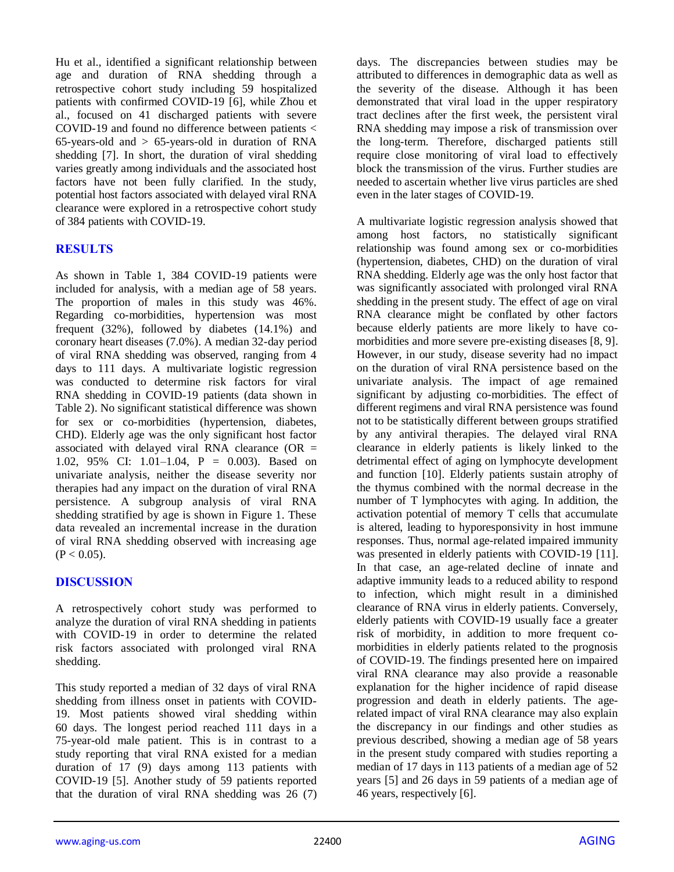Hu et al., identified a significant relationship between age and duration of RNA shedding through a retrospective cohort study including 59 hospitalized patients with confirmed COVID-19 [6], while Zhou et al., focused on 41 discharged patients with severe COVID-19 and found no difference between patients < 65-years-old and  $> 65$ -years-old in duration of RNA shedding [7]. In short, the duration of viral shedding varies greatly among individuals and the associated host factors have not been fully clarified. In the study, potential host factors associated with delayed viral RNA clearance were explored in a retrospective cohort study of 384 patients with COVID-19.

## **RESULTS**

As shown in Table 1, 384 COVID-19 patients were included for analysis, with a median age of 58 years. The proportion of males in this study was 46%. Regarding co-morbidities, hypertension was most frequent (32%), followed by diabetes (14.1%) and coronary heart diseases (7.0%). A median 32-day period of viral RNA shedding was observed, ranging from 4 days to 111 days. A multivariate logistic regression was conducted to determine risk factors for viral RNA shedding in COVID-19 patients (data shown in Table 2). No significant statistical difference was shown for sex or co-morbidities (hypertension, diabetes, CHD). Elderly age was the only significant host factor associated with delayed viral RNA clearance (OR  $=$ 1.02, 95% CI: 1.01–1.04, P = 0.003). Based on univariate analysis, neither the disease severity nor therapies had any impact on the duration of viral RNA persistence. A subgroup analysis of viral RNA shedding stratified by age is shown in Figure 1. These data revealed an incremental increase in the duration of viral RNA shedding observed with increasing age  $(P < 0.05)$ .

#### **DISCUSSION**

A retrospectively cohort study was performed to analyze the duration of viral RNA shedding in patients with COVID-19 in order to determine the related risk factors associated with prolonged viral RNA shedding.

This study reported a median of 32 days of viral RNA shedding from illness onset in patients with COVID-19. Most patients showed viral shedding within 60 days. The longest period reached 111 days in a 75-year-old male patient. This is in contrast to a study reporting that viral RNA existed for a median duration of 17 (9) days among 113 patients with COVID-19 [5]. Another study of 59 patients reported that the duration of viral RNA shedding was 26 (7) days. The discrepancies between studies may be attributed to differences in demographic data as well as the severity of the disease. Although it has been demonstrated that viral load in the upper respiratory tract declines after the first week, the persistent viral RNA shedding may impose a risk of transmission over the long-term. Therefore, discharged patients still require close monitoring of viral load to effectively block the transmission of the virus. Further studies are needed to ascertain whether live virus particles are shed even in the later stages of COVID-19.

A multivariate logistic regression analysis showed that among host factors, no statistically significant relationship was found among sex or co-morbidities (hypertension, diabetes, CHD) on the duration of viral RNA shedding. Elderly age was the only host factor that was significantly associated with prolonged viral RNA shedding in the present study. The effect of age on viral RNA clearance might be conflated by other factors because elderly patients are more likely to have comorbidities and more severe pre-existing diseases [8, 9]. However, in our study, disease severity had no impact on the duration of viral RNA persistence based on the univariate analysis. The impact of age remained significant by adjusting co-morbidities. The effect of different regimens and viral RNA persistence was found not to be statistically different between groups stratified by any antiviral therapies. The delayed viral RNA clearance in elderly patients is likely linked to the detrimental effect of aging on lymphocyte development and function [10]. Elderly patients sustain atrophy of the thymus combined with the normal decrease in the number of T lymphocytes with aging. In addition, the activation potential of memory T cells that accumulate is altered, leading to hyporesponsivity in host immune responses. Thus, normal age-related impaired immunity was presented in elderly patients with COVID-19 [11]. In that case, an age-related decline of innate and adaptive immunity leads to a reduced ability to respond to infection, which might result in a diminished clearance of RNA virus in elderly patients. Conversely, elderly patients with COVID-19 usually face a greater risk of morbidity, in addition to more frequent comorbidities in elderly patients related to the prognosis of COVID-19. The findings presented here on impaired viral RNA clearance may also provide a reasonable explanation for the higher incidence of rapid disease progression and death in elderly patients. The agerelated impact of viral RNA clearance may also explain the discrepancy in our findings and other studies as previous described, showing a median age of 58 years in the present study compared with studies reporting a median of 17 days in 113 patients of a median age of 52 years [5] and 26 days in 59 patients of a median age of 46 years, respectively [6].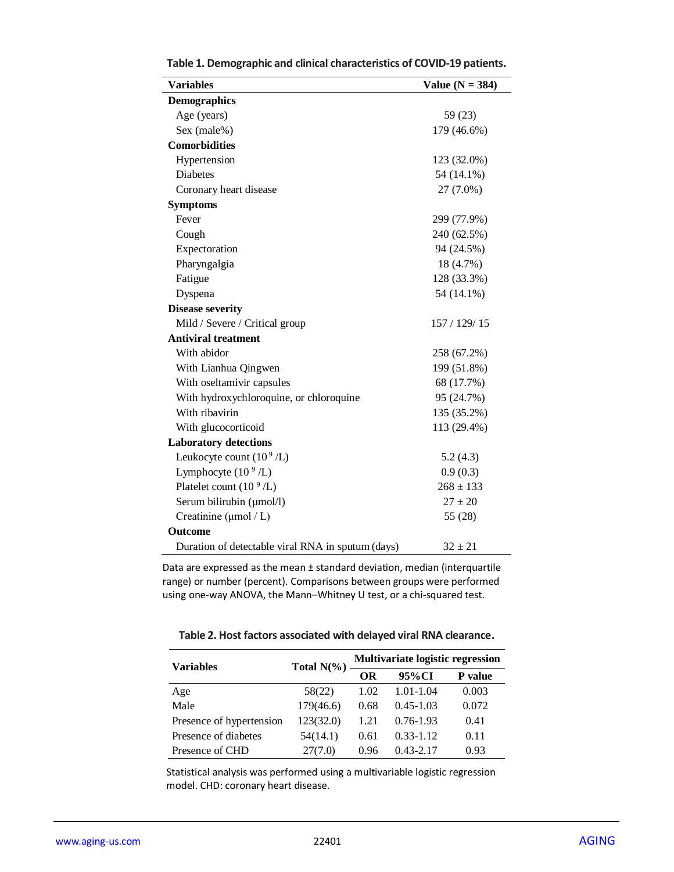| <b>Variables</b>                                  | Value ( $N = 384$ ) |
|---------------------------------------------------|---------------------|
| <b>Demographics</b>                               |                     |
| Age (years)                                       | 59 (23)             |
| Sex (male%)                                       | 179 (46.6%)         |
| <b>Comorbidities</b>                              |                     |
| Hypertension                                      | 123 (32.0%)         |
| <b>Diabetes</b>                                   | 54 (14.1%)          |
| Coronary heart disease                            | 27 (7.0%)           |
| <b>Symptoms</b>                                   |                     |
| Fever                                             | 299 (77.9%)         |
| Cough                                             | 240 (62.5%)         |
| Expectoration                                     | 94 (24.5%)          |
| Pharyngalgia                                      | 18 (4.7%)           |
| Fatigue                                           | 128 (33.3%)         |
| Dyspena                                           | 54 (14.1%)          |
| <b>Disease severity</b>                           |                     |
| Mild / Severe / Critical group                    | 157 / 129 / 15      |
| <b>Antiviral treatment</b>                        |                     |
| With abidor                                       | 258 (67.2%)         |
| With Lianhua Qingwen                              | 199 (51.8%)         |
| With oseltamivir capsules                         | 68 (17.7%)          |
| With hydroxychloroquine, or chloroquine           | 95 (24.7%)          |
| With ribavirin                                    | 135 (35.2%)         |
| With glucocorticoid                               | 113 (29.4%)         |
| <b>Laboratory detections</b>                      |                     |
| Leukocyte count $(10^9$ /L)                       | 5.2(4.3)            |
| Lymphocyte $(10^9$ /L)                            | 0.9(0.3)            |
| Platelet count (10 <sup>9</sup> /L)               | $268 \pm 133$       |
| Serum bilirubin (µmol/l)                          | $27 \pm 20$         |
| Creatinine ( $\mu$ mol / L)                       | 55 (28)             |
| <b>Outcome</b>                                    |                     |
| Duration of detectable viral RNA in sputum (days) | $32 \pm 21$         |

**Table 1. Demographic and clinical characteristics of COVID-19 patients.**

Data are expressed as the mean ± standard deviation, median (interquartile range) or number (percent). Comparisons between groups were performed using one-way ANOVA, the Mann–Whitney U test, or a chi-squared test.

| Table 2. Host factors associated with delayed viral RNA clearance. |  |
|--------------------------------------------------------------------|--|
|--------------------------------------------------------------------|--|

| <b>Variables</b>         | Total $N(\%)$ | Multivariate logistic regression |               |                |
|--------------------------|---------------|----------------------------------|---------------|----------------|
|                          |               | ОR                               | 95%CI         | <b>P</b> value |
| Age                      | 58(22)        | 1.02                             | $1.01 - 1.04$ | 0.003          |
| Male                     | 179(46.6)     | 0.68                             | $0.45 - 1.03$ | 0.072          |
| Presence of hypertension | 123(32.0)     | 1.21                             | $0.76 - 1.93$ | 0.41           |
| Presence of diabetes     | 54(14.1)      | 0.61                             | $0.33 - 1.12$ | 0.11           |
| Presence of CHD          | 27(7.0)       | 0.96                             | $0.43 - 2.17$ | 0.93           |

Statistical analysis was performed using a multivariable logistic regression model. CHD: coronary heart disease.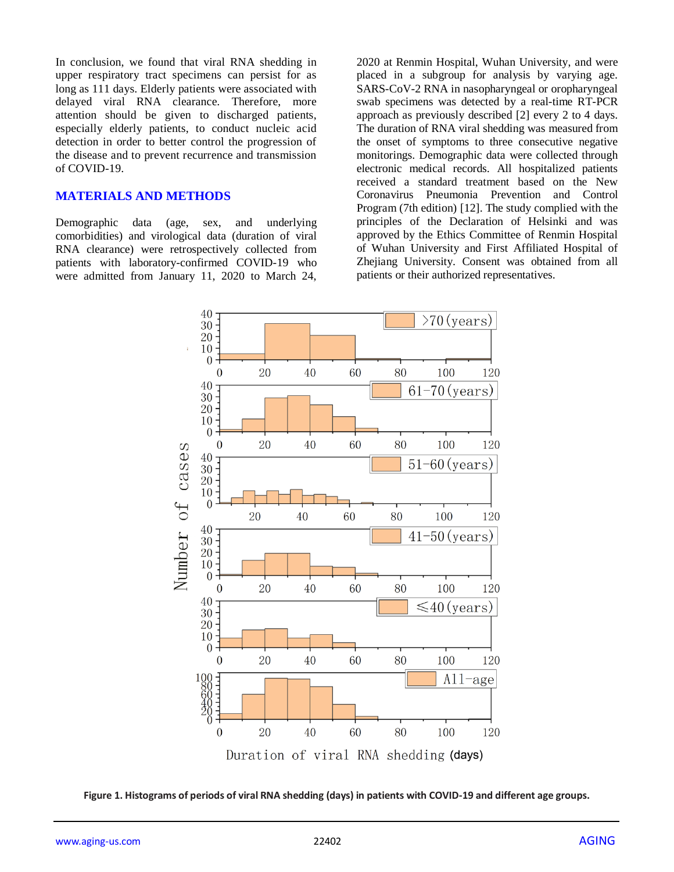In conclusion, we found that viral RNA shedding in upper respiratory tract specimens can persist for as long as 111 days. Elderly patients were associated with delayed viral RNA clearance. Therefore, more attention should be given to discharged patients, especially elderly patients, to conduct nucleic acid detection in order to better control the progression of the disease and to prevent recurrence and transmission of COVID-19.

#### **MATERIALS AND METHODS**

Demographic data (age, sex, and underlying comorbidities) and virological data (duration of viral RNA clearance) were retrospectively collected from patients with laboratory-confirmed COVID-19 who were admitted from January 11, 2020 to March 24,

2020 at Renmin Hospital, Wuhan University, and were placed in a subgroup for analysis by varying age. SARS-CoV-2 RNA in nasopharyngeal or oropharyngeal swab specimens was detected by a real-time RT-PCR approach as previously described [2] every 2 to 4 days. The duration of RNA viral shedding was measured from the onset of symptoms to three consecutive negative monitorings. Demographic data were collected through electronic medical records. All hospitalized patients received a standard treatment based on the New Coronavirus Pneumonia Prevention and Control Program (7th edition) [12]. The study complied with the principles of the Declaration of Helsinki and was approved by the Ethics Committee of Renmin Hospital of Wuhan University and First Affiliated Hospital of Zhejiang University. Consent was obtained from all patients or their authorized representatives.



**Figure 1. Histograms of periods of viral RNA shedding (days) in patients with COVID-19 and different age groups.**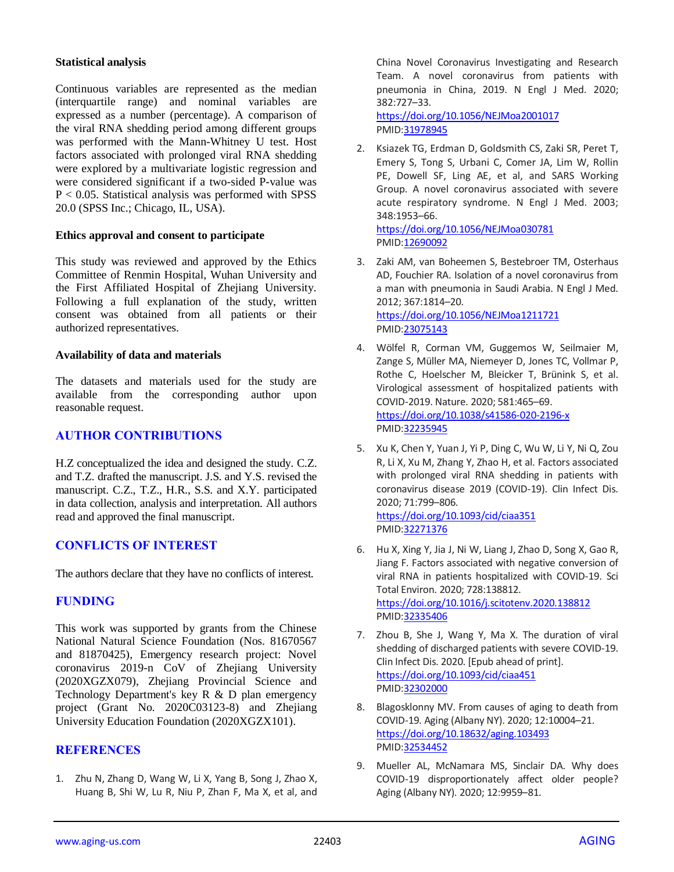#### **Statistical analysis**

Continuous variables are represented as the median (interquartile range) and nominal variables are expressed as a number (percentage). A comparison of the viral RNA shedding period among different groups was performed with the Mann-Whitney U test. Host factors associated with prolonged viral RNA shedding were explored by a multivariate logistic regression and were considered significant if a two-sided P-value was P < 0.05. Statistical analysis was performed with SPSS 20.0 (SPSS Inc.; Chicago, IL, USA).

#### **Ethics approval and consent to participate**

This study was reviewed and approved by the Ethics Committee of Renmin Hospital, Wuhan University and the First Affiliated Hospital of Zhejiang University. Following a full explanation of the study, written consent was obtained from all patients or their authorized representatives.

#### **Availability of data and materials**

The datasets and materials used for the study are available from the corresponding author upon reasonable request.

#### **AUTHOR CONTRIBUTIONS**

H.Z conceptualized the idea and designed the study. C.Z. and T.Z. drafted the manuscript. J.S. and Y.S. revised the manuscript. C.Z., T.Z., H.R., S.S. and X.Y. participated in data collection, analysis and interpretation. All authors read and approved the final manuscript.

## **CONFLICTS OF INTEREST**

The authors declare that they have no conflicts of interest.

#### **FUNDING**

This work was supported by grants from the Chinese National Natural Science Foundation (Nos. 81670567 and 81870425), Emergency research project: Novel coronavirus 2019-n CoV of Zhejiang University (2020XGZX079), Zhejiang Provincial Science and Technology Department's key R & D plan emergency project (Grant No. 2020C03123-8) and Zhejiang University Education Foundation (2020XGZX101).

#### **REFERENCES**

1. Zhu N, Zhang D, Wang W, Li X, Yang B, Song J, Zhao X, Huang B, Shi W, Lu R, Niu P, Zhan F, Ma X, et al, and China Novel Coronavirus Investigating and Research Team. A novel coronavirus from patients with pneumonia in China, 2019. N Engl J Med. 2020; 382:727–33.

<https://doi.org/10.1056/NEJMoa2001017> PMI[D:31978945](https://pubmed.ncbi.nlm.nih.gov/31978945)

2. Ksiazek TG, Erdman D, Goldsmith CS, Zaki SR, Peret T, Emery S, Tong S, Urbani C, Comer JA, Lim W, Rollin PE, Dowell SF, Ling AE, et al, and SARS Working Group. A novel coronavirus associated with severe acute respiratory syndrome. N Engl J Med. 2003; 348:1953–66.

<https://doi.org/10.1056/NEJMoa030781> PMI[D:12690092](https://pubmed.ncbi.nlm.nih.gov/12690092)

- 3. Zaki AM, van Boheemen S, Bestebroer TM, Osterhaus AD, Fouchier RA. Isolation of a novel coronavirus from a man with pneumonia in Saudi Arabia. N Engl J Med. 2012; 367:1814–20. <https://doi.org/10.1056/NEJMoa1211721> PMI[D:23075143](https://pubmed.ncbi.nlm.nih.gov/23075143)
- 4. Wölfel R, Corman VM, Guggemos W, Seilmaier M, Zange S, Müller MA, Niemeyer D, Jones TC, Vollmar P, Rothe C, Hoelscher M, Bleicker T, Brünink S, et al. Virological assessment of hospitalized patients with COVID-2019. Nature. 2020; 581:465–69. <https://doi.org/10.1038/s41586-020-2196-x> PMI[D:32235945](https://pubmed.ncbi.nlm.nih.gov/32235945)
- 5. Xu K, Chen Y, Yuan J, Yi P, Ding C, Wu W, Li Y, Ni Q, Zou R, Li X, Xu M, Zhang Y, Zhao H, et al. Factors associated with prolonged viral RNA shedding in patients with coronavirus disease 2019 (COVID-19). Clin Infect Dis. 2020; 71:799–806. <https://doi.org/10.1093/cid/ciaa351>

PMI[D:32271376](https://pubmed.ncbi.nlm.nih.gov/32271376)

- 6. Hu X, Xing Y, Jia J, Ni W, Liang J, Zhao D, Song X, Gao R, Jiang F. Factors associated with negative conversion of viral RNA in patients hospitalized with COVID-19. Sci Total Environ. 2020; 728:138812. <https://doi.org/10.1016/j.scitotenv.2020.138812> PMI[D:32335406](https://pubmed.ncbi.nlm.nih.gov/32335406)
- 7. Zhou B, She J, Wang Y, Ma X. The duration of viral shedding of discharged patients with severe COVID-19. Clin Infect Dis. 2020. [Epub ahead of print]. <https://doi.org/10.1093/cid/ciaa451> PMI[D:32302000](https://pubmed.ncbi.nlm.nih.gov/32302000)
- 8. Blagosklonny MV. From causes of aging to death from COVID-19. Aging (Albany NY). 2020; 12:10004–21. <https://doi.org/10.18632/aging.103493> PMI[D:32534452](https://pubmed.ncbi.nlm.nih.gov/32534452)
- 9. Mueller AL, McNamara MS, Sinclair DA. Why does COVID-19 disproportionately affect older people? Aging (Albany NY). 2020; 12:9959–81.